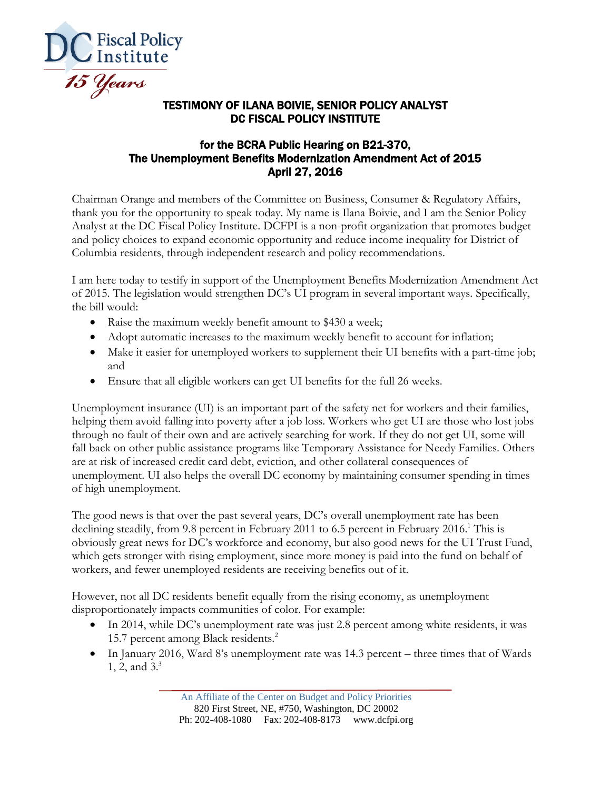

## TESTIMONY OF ILANA BOIVIE, SENIOR POLICY ANALYST DC FISCAL POLICY INSTITUTE

## for the BCRA Public Hearing on B21-370, The Unemployment Benefits Modernization Amendment Act of 2015 April 27, 2016

Chairman Orange and members of the Committee on Business, Consumer & Regulatory Affairs, thank you for the opportunity to speak today. My name is Ilana Boivie, and I am the Senior Policy Analyst at the DC Fiscal Policy Institute. DCFPI is a non-profit organization that promotes budget and policy choices to expand economic opportunity and reduce income inequality for District of Columbia residents, through independent research and policy recommendations.

I am here today to testify in support of the Unemployment Benefits Modernization Amendment Act of 2015. The legislation would strengthen DC's UI program in several important ways. Specifically, the bill would:

- Raise the maximum weekly benefit amount to \$430 a week;
- Adopt automatic increases to the maximum weekly benefit to account for inflation;
- Make it easier for unemployed workers to supplement their UI benefits with a part-time job; and
- Ensure that all eligible workers can get UI benefits for the full 26 weeks.

Unemployment insurance (UI) is an important part of the safety net for workers and their families, helping them avoid falling into poverty after a job loss. Workers who get UI are those who lost jobs through no fault of their own and are actively searching for work. If they do not get UI, some will fall back on other public assistance programs like Temporary Assistance for Needy Families. Others are at risk of increased credit card debt, eviction, and other collateral consequences of unemployment. UI also helps the overall DC economy by maintaining consumer spending in times of high unemployment.

The good news is that over the past several years, DC's overall unemployment rate has been declining steadily, from 9.8 percent in February 2011 to 6.5 percent in February 2016.<sup>1</sup> This is obviously great news for DC's workforce and economy, but also good news for the UI Trust Fund, which gets stronger with rising employment, since more money is paid into the fund on behalf of workers, and fewer unemployed residents are receiving benefits out of it.

However, not all DC residents benefit equally from the rising economy, as unemployment disproportionately impacts communities of color. For example:

- In 2014, while DC's unemployment rate was just 2.8 percent among white residents, it was 15.7 percent among Black residents.<sup>2</sup>
- In January 2016, Ward 8's unemployment rate was 14.3 percent three times that of Wards 1, 2, and 3.3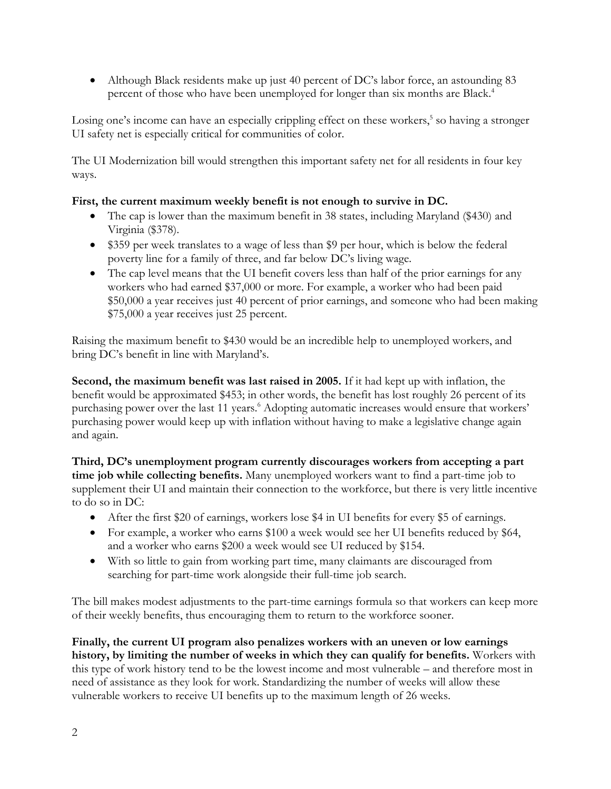Although Black residents make up just 40 percent of DC's labor force, an astounding 83 percent of those who have been unemployed for longer than six months are Black.<sup>4</sup>

Losing one's income can have an especially crippling effect on these workers,<sup>5</sup> so having a stronger UI safety net is especially critical for communities of color.

The UI Modernization bill would strengthen this important safety net for all residents in four key ways.

## **First, the current maximum weekly benefit is not enough to survive in DC.**

- The cap is lower than the maximum benefit in 38 states, including Maryland (\$430) and Virginia (\$378).
- \$359 per week translates to a wage of less than \$9 per hour, which is below the federal poverty line for a family of three, and far below DC's living wage.
- The cap level means that the UI benefit covers less than half of the prior earnings for any workers who had earned \$37,000 or more. For example, a worker who had been paid \$50,000 a year receives just 40 percent of prior earnings, and someone who had been making \$75,000 a year receives just 25 percent.

Raising the maximum benefit to \$430 would be an incredible help to unemployed workers, and bring DC's benefit in line with Maryland's.

**Second, the maximum benefit was last raised in 2005.** If it had kept up with inflation, the benefit would be approximated \$453; in other words, the benefit has lost roughly 26 percent of its purchasing power over the last 11 years. <sup>6</sup> Adopting automatic increases would ensure that workers' purchasing power would keep up with inflation without having to make a legislative change again and again.

**Third, DC's unemployment program currently discourages workers from accepting a part time job while collecting benefits.** Many unemployed workers want to find a part-time job to supplement their UI and maintain their connection to the workforce, but there is very little incentive to do so in DC:

- After the first \$20 of earnings, workers lose \$4 in UI benefits for every \$5 of earnings.
- For example, a worker who earns \$100 a week would see her UI benefits reduced by \$64, and a worker who earns \$200 a week would see UI reduced by \$154.
- With so little to gain from working part time, many claimants are discouraged from searching for part-time work alongside their full-time job search.

The bill makes modest adjustments to the part-time earnings formula so that workers can keep more of their weekly benefits, thus encouraging them to return to the workforce sooner.

**Finally, the current UI program also penalizes workers with an uneven or low earnings history, by limiting the number of weeks in which they can qualify for benefits.** Workers with this type of work history tend to be the lowest income and most vulnerable – and therefore most in need of assistance as they look for work. Standardizing the number of weeks will allow these vulnerable workers to receive UI benefits up to the maximum length of 26 weeks.